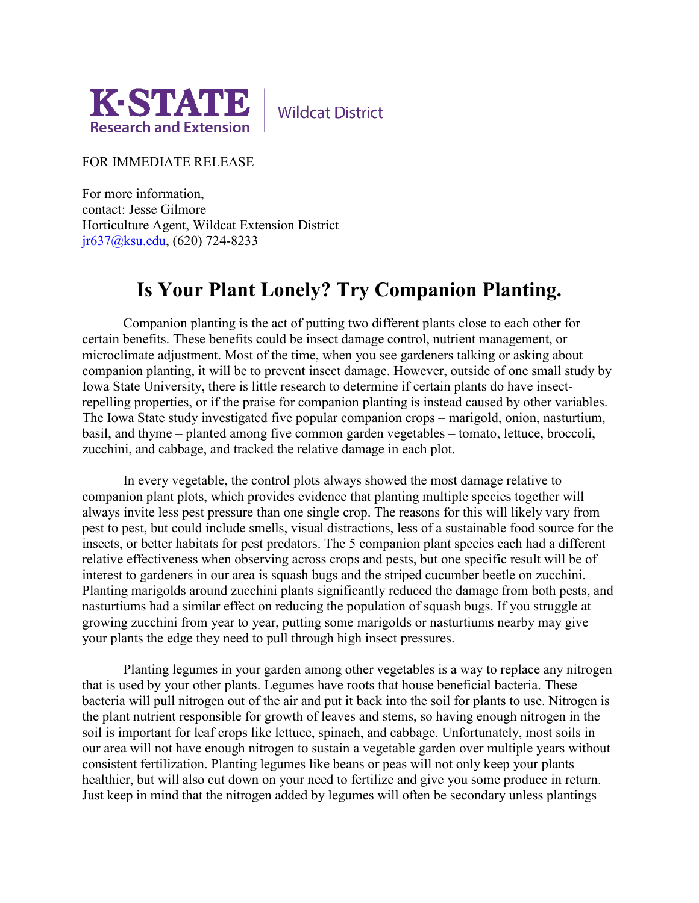

**Wildcat District** 

FOR IMMEDIATE RELEASE

For more information, contact: Jesse Gilmore Horticulture Agent, Wildcat Extension District [jr637@ksu.edu,](mailto:jr637@ksu.edu) (620) 724-8233

## **Is Your Plant Lonely? Try Companion Planting.**

Companion planting is the act of putting two different plants close to each other for certain benefits. These benefits could be insect damage control, nutrient management, or microclimate adjustment. Most of the time, when you see gardeners talking or asking about companion planting, it will be to prevent insect damage. However, outside of one small study by Iowa State University, there is little research to determine if certain plants do have insectrepelling properties, or if the praise for companion planting is instead caused by other variables. The Iowa State study investigated five popular companion crops – marigold, onion, nasturtium, basil, and thyme – planted among five common garden vegetables – tomato, lettuce, broccoli, zucchini, and cabbage, and tracked the relative damage in each plot.

In every vegetable, the control plots always showed the most damage relative to companion plant plots, which provides evidence that planting multiple species together will always invite less pest pressure than one single crop. The reasons for this will likely vary from pest to pest, but could include smells, visual distractions, less of a sustainable food source for the insects, or better habitats for pest predators. The 5 companion plant species each had a different relative effectiveness when observing across crops and pests, but one specific result will be of interest to gardeners in our area is squash bugs and the striped cucumber beetle on zucchini. Planting marigolds around zucchini plants significantly reduced the damage from both pests, and nasturtiums had a similar effect on reducing the population of squash bugs. If you struggle at growing zucchini from year to year, putting some marigolds or nasturtiums nearby may give your plants the edge they need to pull through high insect pressures.

Planting legumes in your garden among other vegetables is a way to replace any nitrogen that is used by your other plants. Legumes have roots that house beneficial bacteria. These bacteria will pull nitrogen out of the air and put it back into the soil for plants to use. Nitrogen is the plant nutrient responsible for growth of leaves and stems, so having enough nitrogen in the soil is important for leaf crops like lettuce, spinach, and cabbage. Unfortunately, most soils in our area will not have enough nitrogen to sustain a vegetable garden over multiple years without consistent fertilization. Planting legumes like beans or peas will not only keep your plants healthier, but will also cut down on your need to fertilize and give you some produce in return. Just keep in mind that the nitrogen added by legumes will often be secondary unless plantings